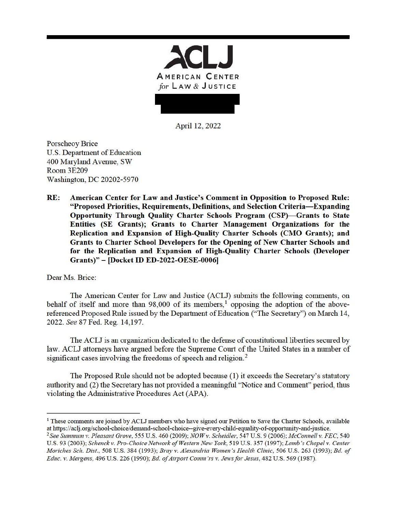

April 12, 2022

Porscheoy Brice U.S. Department of Education 400 Maryland Avenue, SW Room 3E209 Washington, DC 20202-5970

**RE: American Center for Law and Justice's Comment in Opposition to Proposed Rule: "Proposed Priorities, Requirements, Definitions, and Selection Criteria-Expanding Opportunity Through Quality Charter Schools Program (CSP)-Grants to State Entities (SE Grants); Grants to Charter Management Organizations for the Replication and Expansion of High-Quality Charter Schools (CMO Grants); and Grants to Charter School Developers for the Opening of New Charter Schools and for the Replication and Expansion of High-Quality Charter Schools (Developer Grants)"** - **[Docket ID ED-2022-OESE-0006]** 

Dear Ms. Brice:

The American Center for Law and Justice (ACLJ) submits the following comments, on behalf of itself and more than  $98,000$  of its members,<sup>1</sup> opposing the adoption of the abovereferenced Proposed Rule issued by the Department of Education ("The Secretary") on March 14, 2022. *See* 87 Fed. Reg. 14,197.

The ACLJ is an organization dedicated to the defense of constitutional liberties secured by law. ACLJ attorneys have argued before the Supreme Court of the United States in a number of significant cases involving the freedoms of speech and religion.<sup>2</sup>

The Proposed Rule should not be adopted because (1) it exceeds the Secretary's statutory authority and (2) the Secretary has not provided a meaningful "Notice and Comment" period, thus violating the Administrative Procedures Act (APA).

<sup>&</sup>lt;sup>1</sup> These comments are joined by ACLJ members who have signed our Petition to Save the Charter Schools, available at https:/ /aclj. org/school-choice/ dernand-school-choice--give-eve1y-child-equality-of-opportunity-and-justice.

<sup>2</sup>*See Summum* v. *Pleasant Grove, 555* U.S. 460 (2009); *NOW* v. *Scheidler,* 547 U.S. 9 (2006); *McConnell* v. *FEC,* 540 U.S. 93 (2003); *Schenck v. Pro-Choice Network of Western New York,* 519 U.S. 357 (1997); *Lamb's Chapel* v. *Center Moriches Sch. Dist., 508 U.S. 384 (1993); Bray v. Alexandria Women's Health Clinic, 506 U.S. 263 (1993); Bd. of Educ.* v. *Mergens,* 496 U.S. 226 (1990); *Bd. of Ai1port Comm'rs v. Jews for Jesus,* 482 U.S. 569 (1987).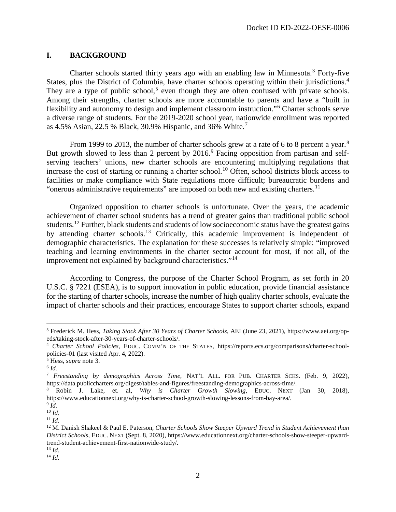## **I. BACKGROUND**

Charter schools started thirty years ago with an enabling law in Minnesota.<sup>3</sup> Forty-five States, plus the District of Columbia, have charter schools operating within their jurisdictions.<sup>4</sup> They are a type of public school,<sup>5</sup> even though they are often confused with private schools. Among their strengths, charter schools are more accountable to parents and have a "built in flexibility and autonomy to design and implement classroom instruction."<sup>6</sup> Charter schools serve a diverse range of students. For the 2019-2020 school year, nationwide enrollment was reported as 4.5% Asian, 22.5 % Black, 30.9% Hispanic, and 36% White.<sup>7</sup>

From 1999 to 2013, the number of charter schools grew at a rate of 6 to 8 percent a year.<sup>8</sup> But growth slowed to less than 2 percent by 2016.<sup>9</sup> Facing opposition from partisan and selfserving teachers' unions, new charter schools are encountering multiplying regulations that increase the cost of starting or running a charter school.<sup>10</sup> Often, school districts block access to facilities or make compliance with State regulations more difficult; bureaucratic burdens and "onerous administrative requirements" are imposed on both new and existing charters.<sup>11</sup>

Organized opposition to charter schools is unfortunate. Over the years, the academic achievement of charter school students has a trend of greater gains than traditional public school students.<sup>12</sup> Further, black students and students of low socioeconomic status have the greatest gains by attending charter schools.<sup>13</sup> Critically, this academic improvement is independent of demographic characteristics. The explanation for these successes is relatively simple: "improved teaching and learning environments in the charter sector account for most, if not all, of the improvement not explained by background characteristics."<sup>14</sup>

According to Congress, the purpose of the Charter School Program, as set forth in 20 U.S.C. § 7221 (ESEA), is to support innovation in public education, provide financial assistance for the starting of charter schools, increase the number of high quality charter schools, evaluate the impact of charter schools and their practices, encourage States to support charter schools, expand

<sup>3</sup> Frederick M. Hess, *Taking Stock After 30 Years of Charter Schools*, AEI (June 23, 2021), https://www.aei.org/opeds/taking-stock-after-30-years-of-charter-schools/.

<sup>4</sup> *Charter School Policies*, EDUC. COMM'N OF THE STATES, https://reports.ecs.org/comparisons/charter-schoolpolicies-01 (last visited Apr. 4, 2022).

<sup>5</sup> Hess, *supra* note 3.

 $^6$   $\mathit{Id}.$ 

<sup>7</sup> *Freestanding by demographics Across Time*, NAT'L ALL. FOR PUB. CHARTER SCHS. (Feb. 9, 2022), https://data.publiccharters.org/digest/tables-and-figures/freestanding-demographics-across-time/.

<sup>8</sup> Robin J. Lake, et. al, *Why is Charter Growth Slowing*, EDUC. NEXT (Jan 30, 2018), https://www.educationnext.org/why-is-charter-school-growth-slowing-lessons-from-bay-area/.

<sup>9</sup> *Id.*

<sup>10</sup> *Id.*

<sup>11</sup> *Id.*

<sup>&</sup>lt;sup>12</sup> M. Danish Shakeel & Paul E. Paterson, *Charter Schools Show Steeper Upward Trend in Student Achievement than District Schools*, EDUC. NEXT (Sept. 8, 2020), https://www.educationnext.org/charter-schools-show-steeper-upwardtrend-student-achievement-first-nationwide-study/.

<sup>13</sup> *Id.*

<sup>14</sup> *Id.*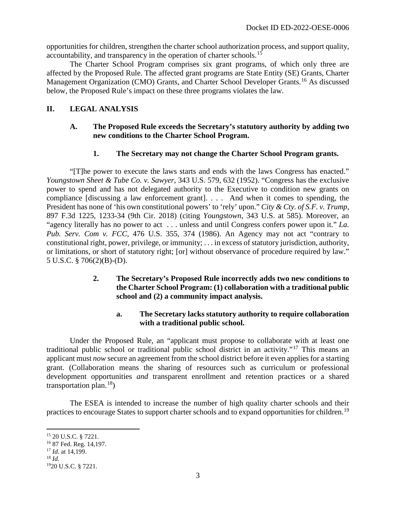opportunities for children, strengthen the charter school authorization process, and support quality, accountability, and transparency in the operation of charter schools.<sup>15</sup>

The Charter School Program comprises six grant programs, of which only three are affected by the Proposed Rule. The affected grant programs are State Entity (SE) Grants, Charter Management Organization (CMO) Grants, and Charter School Developer Grants.<sup>16</sup> As discussed below, the Proposed Rule's impact on these three programs violates the law.

# **II. LEGAL ANALYSIS**

#### **A. The Proposed Rule exceeds the Secretary's statutory authority by adding two new conditions to the Charter School Program.**

### **1. The Secretary may not change the Charter School Program grants.**

"[T]he power to execute the laws starts and ends with the laws Congress has enacted." *Youngstown Sheet & Tube Co. v. Sawyer*, 343 U.S. 579, 632 (1952). "Congress has the exclusive power to spend and has not delegated authority to the Executive to condition new grants on compliance [discussing a law enforcement grant]. . . . And when it comes to spending, the President has none of 'his own constitutional powers' to 'rely' upon." *City & Cty. of S.F. v. Trump*, 897 F.3d 1225, 1233-34 (9th Cir. 2018) (citing *Youngstown*, 343 U.S. at 585). Moreover, an "agency literally has no power to act . . . unless and until Congress confers power upon it." *La. Pub. Serv. Com v. FCC*, 476 U.S. 355, 374 (1986). An Agency may not act "contrary to constitutional right, power, privilege, or immunity; . . . in excess of statutory jurisdiction, authority, or limitations, or short of statutory right; [or] without observance of procedure required by law." 5 U.S.C. § 706(2)(B)-(D).

## **2. The Secretary's Proposed Rule incorrectly adds two new conditions to the Charter School Program: (1) collaboration with a traditional public school and (2) a community impact analysis.**

## **a. The Secretary lacks statutory authority to require collaboration with a traditional public school.**

Under the Proposed Rule, an "applicant must propose to collaborate with at least one traditional public school or traditional public school district in an activity."<sup>17</sup> This means an applicant must *now* secure an agreement from the school district before it even applies for a starting grant. (Collaboration means the sharing of resources such as curriculum or professional development opportunities *and* transparent enrollment and retention practices or a shared transportation plan.<sup>18</sup>)

The ESEA is intended to increase the number of high quality charter schools and their practices to encourage States to support charter schools and to expand opportunities for children.<sup>19</sup>

<sup>15</sup> 20 U.S.C. § 7221.

<sup>16</sup> 87 Fed. Reg. 14,197.

<sup>17</sup> *Id.* at 14,199.

<sup>18</sup> *Id.*

<sup>1920</sup> U.S.C. § 7221.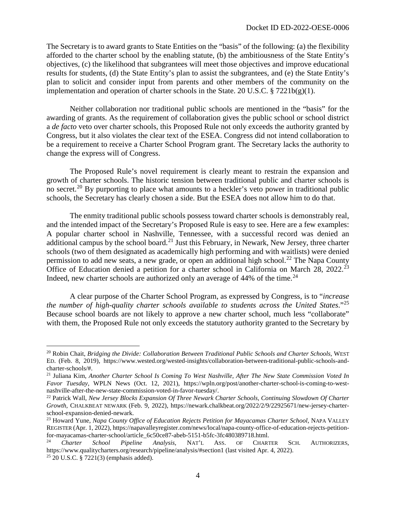The Secretary is to award grants to State Entities on the "basis" of the following: (a) the flexibility afforded to the charter school by the enabling statute, (b) the ambitiousness of the State Entity's objectives, (c) the likelihood that subgrantees will meet those objectives and improve educational results for students, (d) the State Entity's plan to assist the subgrantees, and (e) the State Entity's plan to solicit and consider input from parents and other members of the community on the implementation and operation of charter schools in the State. 20 U.S.C.  $\S 7221b(g)(1)$ .

Neither collaboration nor traditional public schools are mentioned in the "basis" for the awarding of grants. As the requirement of collaboration gives the public school or school district a *de facto* veto over charter schools, this Proposed Rule not only exceeds the authority granted by Congress, but it also violates the clear text of the ESEA. Congress did not intend collaboration to be a requirement to receive a Charter School Program grant. The Secretary lacks the authority to change the express will of Congress.

The Proposed Rule's novel requirement is clearly meant to restrain the expansion and growth of charter schools. The historic tension between traditional public and charter schools is no secret.<sup>20</sup> By purporting to place what amounts to a heckler's veto power in traditional public schools, the Secretary has clearly chosen a side. But the ESEA does not allow him to do that.

The enmity traditional public schools possess toward charter schools is demonstrably real, and the intended impact of the Secretary's Proposed Rule is easy to see. Here are a few examples: A popular charter school in Nashville, Tennessee, with a successful record was denied an additional campus by the school board.<sup>21</sup> Just this February, in Newark, New Jersey, three charter schools (two of them designated as academically high performing and with waitlists) were denied permission to add new seats, a new grade, or open an additional high school.<sup>22</sup> The Napa County Office of Education denied a petition for a charter school in California on March 28, 2022.<sup>23</sup> Indeed, new charter schools are authorized only an average of  $44\%$  of the time.<sup>24</sup>

 A clear purpose of the Charter School Program, as expressed by Congress, is to "*increase the number of high-quality charter schools available to students across the United States*."<sup>25</sup> Because school boards are not likely to approve a new charter school, much less "collaborate" with them, the Proposed Rule not only exceeds the statutory authority granted to the Secretary by

<sup>20</sup> Robin Chait, *Bridging the Divide: Collaboration Between Traditional Public Schools and Charter Schools*, WEST ED. (Feb. 8, 2019), https://www.wested.org/wested-insights/collaboration-between-traditional-public-schools-andcharter-schools/#.

<sup>21</sup> Juliana Kim, *Another Charter School Is Coming To West Nashville, After The New State Commission Voted In Favor Tuesday*, WPLN News (Oct. 12, 2021), https://wpln.org/post/another-charter-school-is-coming-to-westnashville-after-the-new-state-commission-voted-in-favor-tuesday/.

<sup>22</sup> Patrick Wall, *New Jersey Blocks Expansion Of Three Newark Charter Schools, Continuing Slowdown Of Charter Growth*, CHALKBEAT NEWARK (Feb. 9, 2022), https://newark.chalkbeat.org/2022/2/9/22925671/new-jersey-charterschool-expansion-denied-newark.

<sup>23</sup> Howard Yune, *Napa County Office of Education Rejects Petition for Mayacamas Charter School*, NAPA VALLEY REGISTER (Apr. 1, 2022), https://napavalleyregister.com/news/local/napa-county-office-of-education-rejects-petitionfor-mayacamas-charter-school/article\_6c50ce87-abeb-5151-b5fc-3fc480389718.html.

<sup>24</sup> *Charter School Pipeline Analysis*, NAT'L ASS. OF CHARTER SCH. AUTHORIZERS, https://www.qualitycharters.org/research/pipeline/analysis/#section1 (last visited Apr. 4, 2022).

 $25$  20 U.S.C. § 7221(3) (emphasis added).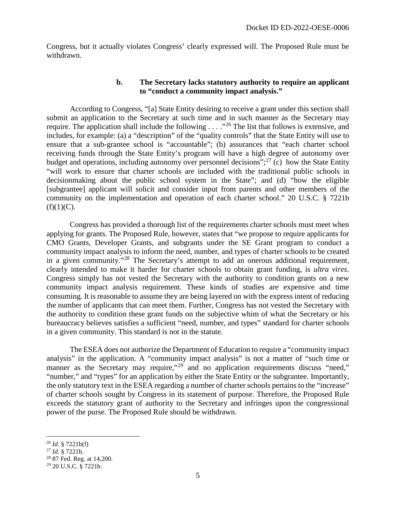Congress, but it actually violates Congress' clearly expressed will. The Proposed Rule must be withdrawn.

#### **b. The Secretary lacks statutory authority to require an applicant to "conduct a community impact analysis."**

According to Congress, "[a] State Entity desiring to receive a grant under this section shall submit an application to the Secretary at such time and in such manner as the Secretary may require. The application shall include the following  $\ldots$  ."<sup>26</sup> The list that follows is extensive, and includes, for example: (a) a "description" of the "quality controls" that the State Entity will use to ensure that a sub-grantee school is "accountable"; (b) assurances that "each charter school receiving funds through the State Entity's program will have a high degree of autonomy over budget and operations, including autonomy over personnel decisions";<sup>27</sup> (c) how the State Entity "will work to ensure that charter schools are included with the traditional public schools in decisionmaking about the public school system in the State"; and (d) "how the eligible [subgrantee] applicant will solicit and consider input from parents and other members of the community on the implementation and operation of each charter school." 20 U.S.C. § 7221b  $(f)(1)(C)$ .

Congress has provided a thorough list of the requirements charter schools must meet when applying for grants. The Proposed Rule, however, states that "we propose to require applicants for CMO Grants, Developer Grants, and subgrants under the SE Grant program to conduct a community impact analysis to inform the need, number, and types of charter schools to be created in a given community."<sup>28</sup> The Secretary's attempt to add an onerous additional requirement, clearly intended to make it harder for charter schools to obtain grant funding, is *ultra vires*. Congress simply has not vested the Secretary with the authority to condition grants on a new community impact analysis requirement. These kinds of studies are expensive and time consuming. It is reasonable to assume they are being layered on with the express intent of reducing the number of applicants that can meet them. Further, Congress has not vested the Secretary with the authority to condition these grant funds on the subjective whim of what the Secretary or his bureaucracy believes satisfies a sufficient "need, number, and types" standard for charter schools in a given community. This standard is not in the statute.

The ESEA does not authorize the Department of Education to require a "community impact analysis" in the application. A "community impact analysis" is not a matter of "such time or manner as the Secretary may require,"<sup>29</sup> and no application requirements discuss "need," "number," and "types" for an application by either the State Entity or the subgrantee. Importantly, the only statutory text in the ESEA regarding a number of charter schools pertains to the "increase" of charter schools sought by Congress in its statement of purpose. Therefore, the Proposed Rule exceeds the statutory grant of authority to the Secretary and infringes upon the congressional power of the purse. The Proposed Rule should be withdrawn.

<sup>26</sup> *Id*. § 7221b(f)

<sup>27</sup> *Id.* § 7221b.

<sup>28</sup> 87 Fed. Reg. at 14,200.

<sup>29</sup> 20 U.S.C. § 7221b.